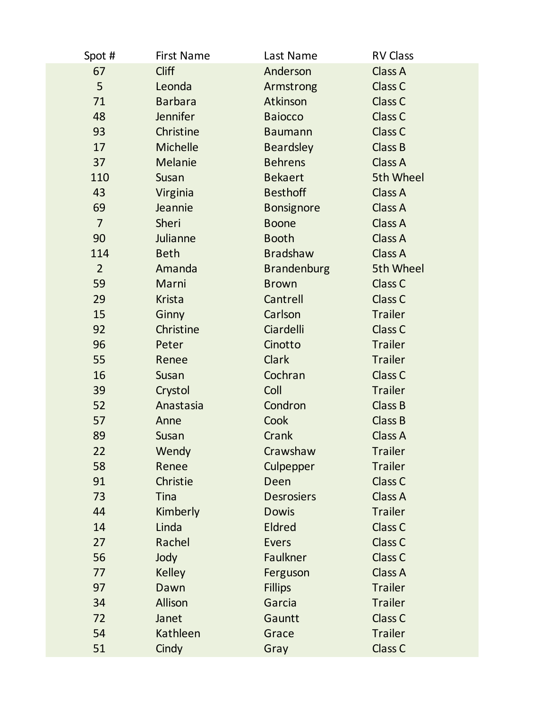| Spot #         | <b>First Name</b> | Last Name          | <b>RV Class</b>    |
|----------------|-------------------|--------------------|--------------------|
| 67             | <b>Cliff</b>      | Anderson           | Class A            |
| 5              | Leonda            | Armstrong          | Class C            |
| 71             | <b>Barbara</b>    | Atkinson           | Class C            |
| 48             | Jennifer          | <b>Baiocco</b>     | Class C            |
| 93             | Christine         | <b>Baumann</b>     | Class C            |
| 17             | <b>Michelle</b>   | <b>Beardsley</b>   | Class B            |
| 37             | Melanie           | <b>Behrens</b>     | Class A            |
| 110            | Susan             | <b>Bekaert</b>     | 5th Wheel          |
| 43             | Virginia          | <b>Besthoff</b>    | Class A            |
| 69             | Jeannie           | <b>Bonsignore</b>  | Class A            |
| $\overline{7}$ | Sheri             | <b>Boone</b>       | Class A            |
| 90             | Julianne          | <b>Booth</b>       | Class A            |
| 114            | <b>Beth</b>       | <b>Bradshaw</b>    | Class A            |
| $\overline{2}$ | Amanda            | <b>Brandenburg</b> | 5th Wheel          |
| 59             | Marni             | <b>Brown</b>       | Class C            |
| 29             | <b>Krista</b>     | Cantrell           | Class C            |
| 15             | Ginny             | Carlson            | <b>Trailer</b>     |
| 92             | Christine         | Ciardelli          | Class <sub>C</sub> |
| 96             | Peter             | Cinotto            | <b>Trailer</b>     |
| 55             | Renee             | <b>Clark</b>       | <b>Trailer</b>     |
| 16             | Susan             | Cochran            | Class C            |
| 39             | Crystol           | Coll               | <b>Trailer</b>     |
| 52             | Anastasia         | Condron            | Class B            |
| 57             | Anne              | Cook               | Class B            |
| 89             | Susan             | Crank              | Class A            |
| 22             | Wendy             | Crawshaw           | <b>Trailer</b>     |
| 58             | Renee             | Culpepper          | <b>Trailer</b>     |
| 91             | Christie          | Deen               | Class C            |
| 73             | <b>Tina</b>       | <b>Desrosiers</b>  | Class A            |
| 44             | Kimberly          | <b>Dowis</b>       | <b>Trailer</b>     |
| 14             | Linda             | <b>Eldred</b>      | Class C            |
| 27             | Rachel            | <b>Evers</b>       | Class C            |
| 56             | Jody              | Faulkner           | Class C            |
| 77             | <b>Kelley</b>     | Ferguson           | Class A            |
| 97             | Dawn              | <b>Fillips</b>     | <b>Trailer</b>     |
| 34             | Allison           | Garcia             | <b>Trailer</b>     |
| 72             | Janet             | Gauntt             | Class C            |
| 54             | Kathleen          | Grace              | <b>Trailer</b>     |
| 51             | Cindy             | Gray               | Class C            |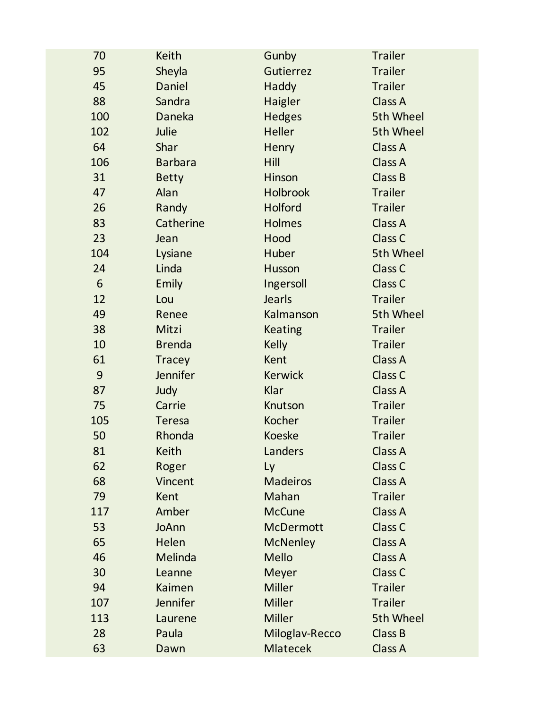| 70  | <b>Keith</b>    | Gunby            | <b>Trailer</b>     |  |
|-----|-----------------|------------------|--------------------|--|
| 95  | Sheyla          | Gutierrez        | <b>Trailer</b>     |  |
| 45  | Daniel          | Haddy            | <b>Trailer</b>     |  |
| 88  | Sandra          | Haigler          | Class A            |  |
| 100 | Daneka          | <b>Hedges</b>    | 5th Wheel          |  |
| 102 | Julie           | <b>Heller</b>    | 5th Wheel          |  |
| 64  | Shar            | Henry            | Class A            |  |
| 106 | <b>Barbara</b>  | Hill             | Class A            |  |
| 31  | <b>Betty</b>    | <b>Hinson</b>    | Class B            |  |
| 47  | Alan            | <b>Holbrook</b>  | <b>Trailer</b>     |  |
| 26  | Randy           | Holford          | <b>Trailer</b>     |  |
| 83  | Catherine       | <b>Holmes</b>    | Class A            |  |
| 23  | Jean            | Hood             | Class C            |  |
| 104 | Lysiane         | Huber            | 5th Wheel          |  |
| 24  | Linda           | Husson           | Class C            |  |
| 6   | <b>Emily</b>    | Ingersoll        | Class C            |  |
| 12  | Lou             | Jearls           | <b>Trailer</b>     |  |
| 49  | Renee           | Kalmanson        | 5th Wheel          |  |
| 38  | Mitzi           | <b>Keating</b>   | <b>Trailer</b>     |  |
| 10  | <b>Brenda</b>   | <b>Kelly</b>     | <b>Trailer</b>     |  |
| 61  | <b>Tracey</b>   | Kent             | Class A            |  |
| 9   | <b>Jennifer</b> | <b>Kerwick</b>   | Class C            |  |
| 87  | Judy            | Klar             | Class A            |  |
| 75  | Carrie          | Knutson          | <b>Trailer</b>     |  |
| 105 | <b>Teresa</b>   | Kocher           | <b>Trailer</b>     |  |
| 50  | Rhonda          | <b>Koeske</b>    | <b>Trailer</b>     |  |
| 81  | Keith           | Landers          | <b>Class A</b>     |  |
| 62  | Roger           | Ly               | Class C            |  |
| 68  | Vincent         | <b>Madeiros</b>  | Class A            |  |
| 79  | Kent            | Mahan            | <b>Trailer</b>     |  |
| 117 | Amber           | <b>McCune</b>    | Class A            |  |
| 53  | <b>JoAnn</b>    | <b>McDermott</b> | Class <sub>C</sub> |  |
| 65  | Helen           | <b>McNenley</b>  | Class A            |  |
| 46  | Melinda         | <b>Mello</b>     | Class A            |  |
| 30  | Leanne          | <b>Meyer</b>     | Class C            |  |
| 94  | Kaimen          | <b>Miller</b>    | <b>Trailer</b>     |  |
| 107 | Jennifer        | <b>Miller</b>    | <b>Trailer</b>     |  |
| 113 | Laurene         | <b>Miller</b>    | 5th Wheel          |  |
| 28  | Paula           | Miloglav-Recco   | <b>Class B</b>     |  |
| 63  | Dawn            | <b>Mlatecek</b>  | Class A            |  |